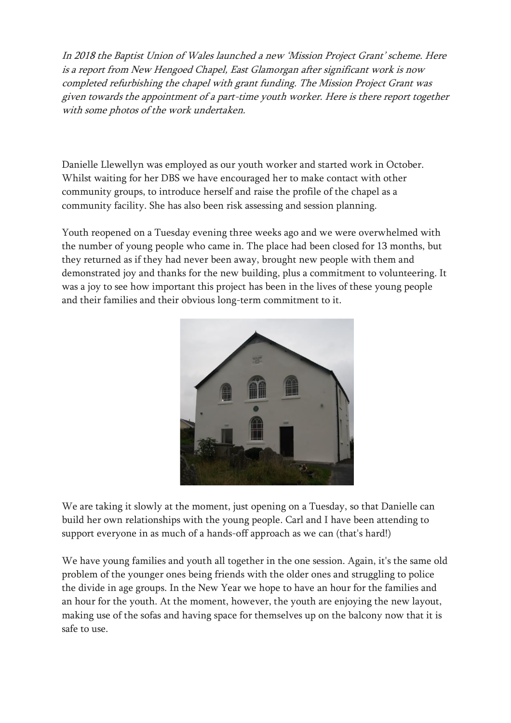In 2018 the Baptist Union of Wales launched a new 'Mission Project Grant' scheme. Here is a report from New Hengoed Chapel, East Glamorgan after significant work is now completed refurbishing the chapel with grant funding. The Mission Project Grant was given towards the appointment of a part-time youth worker. Here is there report together with some photos of the work undertaken.

Danielle Llewellyn was employed as our youth worker and started work in October. Whilst waiting for her DBS we have encouraged her to make contact with other community groups, to introduce herself and raise the profile of the chapel as a community facility. She has also been risk assessing and session planning.

Youth reopened on a Tuesday evening three weeks ago and we were overwhelmed with the number of young people who came in. The place had been closed for 13 months, but they returned as if they had never been away, brought new people with them and demonstrated joy and thanks for the new building, plus a commitment to volunteering. It was a joy to see how important this project has been in the lives of these young people and their families and their obvious long-term commitment to it.



We are taking it slowly at the moment, just opening on a Tuesday, so that Danielle can build her own relationships with the young people. Carl and I have been attending to support everyone in as much of a hands-off approach as we can (that's hard!)

We have young families and youth all together in the one session. Again, it's the same old problem of the younger ones being friends with the older ones and struggling to police the divide in age groups. In the New Year we hope to have an hour for the families and an hour for the youth. At the moment, however, the youth are enjoying the new layout, making use of the sofas and having space for themselves up on the balcony now that it is safe to use.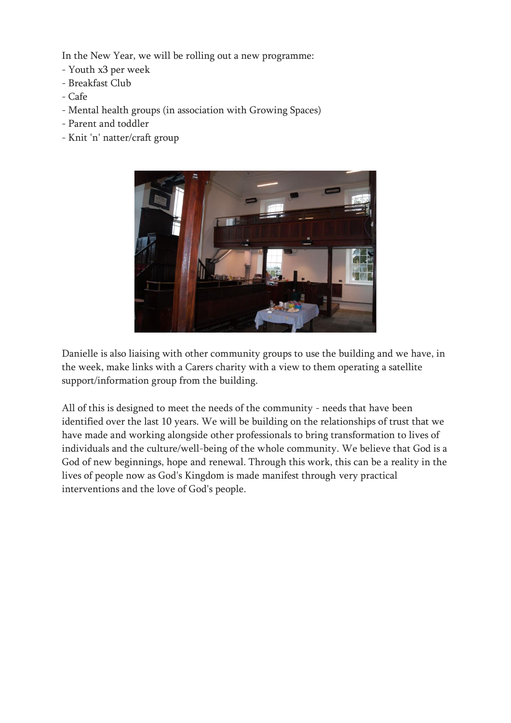In the New Year, we will be rolling out a new programme:

- Youth x3 per week
- Breakfast Club
- Cafe
- Mental health groups (in association with Growing Spaces)
- Parent and toddler
- Knit 'n' natter/craft group



Danielle is also liaising with other community groups to use the building and we have, in the week, make links with a Carers charity with a view to them operating a satellite support/information group from the building.

All of this is designed to meet the needs of the community - needs that have been identified over the last 10 years. We will be building on the relationships of trust that we have made and working alongside other professionals to bring transformation to lives of individuals and the culture/well-being of the whole community. We believe that God is a God of new beginnings, hope and renewal. Through this work, this can be a reality in the lives of people now as God's Kingdom is made manifest through very practical interventions and the love of God's people.